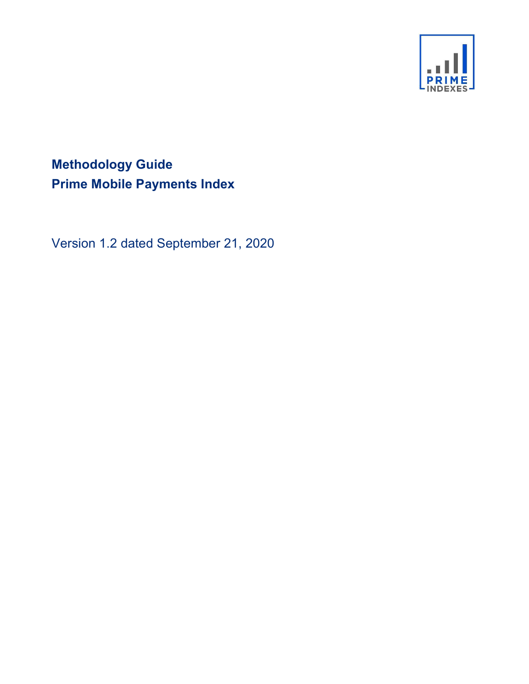

# Methodology Guide Prime Mobile Payments Index

Version 1.2 dated September 21, 2020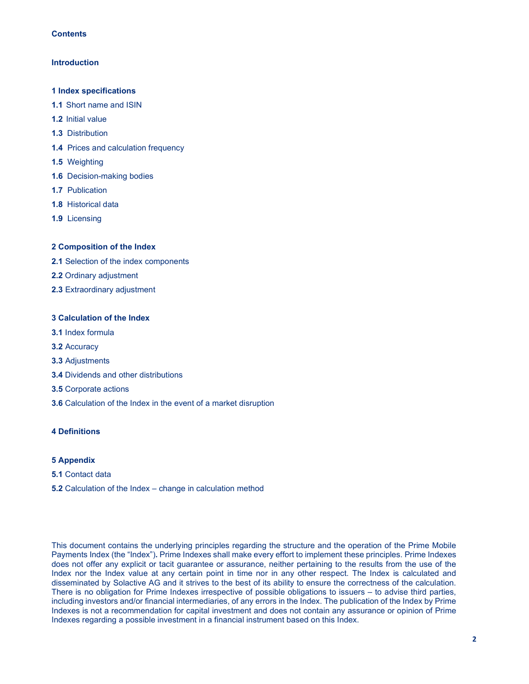## **Contents**

## **Introduction**

## 1 Index specifications

- 1.1 Short name and ISIN
- 1.2 Initial value
- 1.3 Distribution
- 1.4 Prices and calculation frequency
- 1.5 Weighting
- 1.6 Decision-making bodies
- 1.7 Publication
- 1.8 Historical data
- 1.9 Licensing

## 2 Composition of the Index

- 2.1 Selection of the index components
- 2.2 Ordinary adjustment
- 2.3 Extraordinary adjustment

# 3 Calculation of the Index

- 3.1 Index formula
- 3.2 Accuracy
- 3.3 Adjustments
- 3.4 Dividends and other distributions
- 3.5 Corporate actions
- 3.6 Calculation of the Index in the event of a market disruption

# 4 Definitions

# 5 Appendix

- 5.1 Contact data
- 5.2 Calculation of the Index change in calculation method

This document contains the underlying principles regarding the structure and the operation of the Prime Mobile Payments Index (the "Index"). Prime Indexes shall make every effort to implement these principles. Prime Indexes does not offer any explicit or tacit guarantee or assurance, neither pertaining to the results from the use of the Index nor the Index value at any certain point in time nor in any other respect. The Index is calculated and disseminated by Solactive AG and it strives to the best of its ability to ensure the correctness of the calculation. There is no obligation for Prime Indexes irrespective of possible obligations to issuers – to advise third parties, including investors and/or financial intermediaries, of any errors in the Index. The publication of the Index by Prime Indexes is not a recommendation for capital investment and does not contain any assurance or opinion of Prime Indexes regarding a possible investment in a financial instrument based on this Index.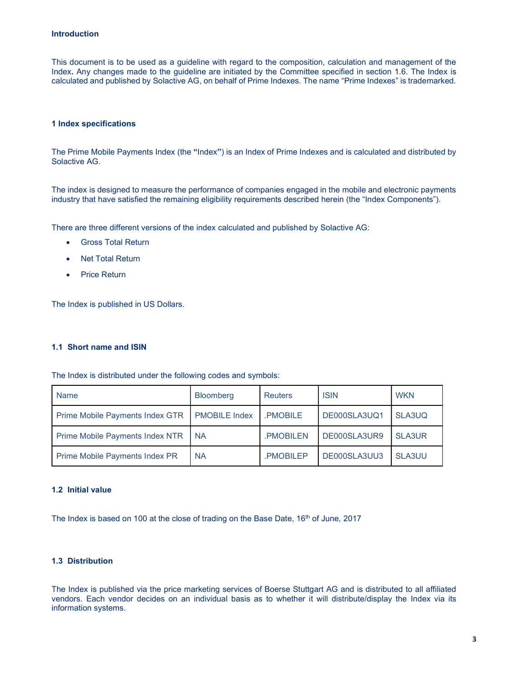## Introduction

This document is to be used as a guideline with regard to the composition, calculation and management of the Index. Any changes made to the guideline are initiated by the Committee specified in section 1.6. The Index is calculated and published by Solactive AG, on behalf of Prime Indexes. The name "Prime Indexes" is trademarked.

## 1 Index specifications

The Prime Mobile Payments Index (the "Index") is an Index of Prime Indexes and is calculated and distributed by Solactive AG.

The index is designed to measure the performance of companies engaged in the mobile and electronic payments industry that have satisfied the remaining eligibility requirements described herein (the "Index Components").

There are three different versions of the index calculated and published by Solactive AG:

- Gross Total Return
- Net Total Return
- Price Return

The Index is published in US Dollars.

## 1.1 Short name and ISIN

The Index is distributed under the following codes and symbols:

| <b>Name</b>                           | <b>Bloomberg</b>     | <b>Reuters</b> | <b>ISIN</b>  | <b>WKN</b>    |
|---------------------------------------|----------------------|----------------|--------------|---------------|
| Prime Mobile Payments Index GTR       | <b>PMOBILE Index</b> | PMOBILE        | DE000SLA3UQ1 | SLA3UQ        |
| Prime Mobile Payments Index NTR       | <b>NA</b>            | .PMOBILEN      | DE000SLA3UR9 | <b>SLA3UR</b> |
| <b>Prime Mobile Payments Index PR</b> | <b>NA</b>            | PMOBILEP       | DE000SLA3UU3 | <b>SLA3UU</b> |

#### 1.2 Initial value

The Index is based on 100 at the close of trading on the Base Date,  $16<sup>th</sup>$  of June, 2017

## 1.3 Distribution

The Index is published via the price marketing services of Boerse Stuttgart AG and is distributed to all affiliated vendors. Each vendor decides on an individual basis as to whether it will distribute/display the Index via its information systems.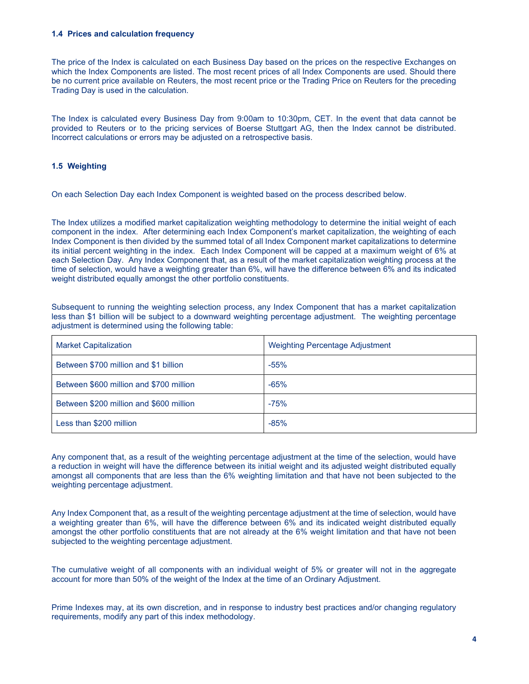## 1.4 Prices and calculation frequency

The price of the Index is calculated on each Business Day based on the prices on the respective Exchanges on which the Index Components are listed. The most recent prices of all Index Components are used. Should there be no current price available on Reuters, the most recent price or the Trading Price on Reuters for the preceding Trading Day is used in the calculation.

The Index is calculated every Business Day from 9:00am to 10:30pm, CET. In the event that data cannot be provided to Reuters or to the pricing services of Boerse Stuttgart AG, then the Index cannot be distributed. Incorrect calculations or errors may be adjusted on a retrospective basis.

# 1.5 Weighting

On each Selection Day each Index Component is weighted based on the process described below.

The Index utilizes a modified market capitalization weighting methodology to determine the initial weight of each component in the index. After determining each Index Component's market capitalization, the weighting of each Index Component is then divided by the summed total of all Index Component market capitalizations to determine its initial percent weighting in the index. Each Index Component will be capped at a maximum weight of 6% at each Selection Day. Any Index Component that, as a result of the market capitalization weighting process at the time of selection, would have a weighting greater than 6%, will have the difference between 6% and its indicated weight distributed equally amongst the other portfolio constituents.

Subsequent to running the weighting selection process, any Index Component that has a market capitalization less than \$1 billion will be subject to a downward weighting percentage adjustment. The weighting percentage adjustment is determined using the following table:

| <b>Market Capitalization</b>            | Weighting Percentage Adjustment |
|-----------------------------------------|---------------------------------|
| Between \$700 million and \$1 billion   | $-55%$                          |
| Between \$600 million and \$700 million | $-65%$                          |
| Between \$200 million and \$600 million | $-75%$                          |
| Less than \$200 million                 | $-85%$                          |

Any component that, as a result of the weighting percentage adjustment at the time of the selection, would have a reduction in weight will have the difference between its initial weight and its adjusted weight distributed equally amongst all components that are less than the 6% weighting limitation and that have not been subjected to the weighting percentage adjustment.

Any Index Component that, as a result of the weighting percentage adjustment at the time of selection, would have a weighting greater than 6%, will have the difference between 6% and its indicated weight distributed equally amongst the other portfolio constituents that are not already at the 6% weight limitation and that have not been subjected to the weighting percentage adjustment.

The cumulative weight of all components with an individual weight of 5% or greater will not in the aggregate account for more than 50% of the weight of the Index at the time of an Ordinary Adjustment.

Prime Indexes may, at its own discretion, and in response to industry best practices and/or changing regulatory requirements, modify any part of this index methodology.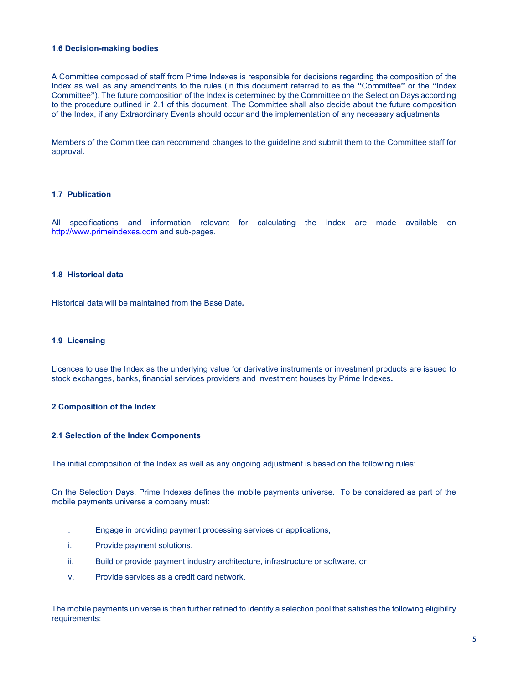## 1.6 Decision-making bodies

A Committee composed of staff from Prime Indexes is responsible for decisions regarding the composition of the Index as well as any amendments to the rules (in this document referred to as the "Committee" or the "Index Committee"). The future composition of the Index is determined by the Committee on the Selection Days according to the procedure outlined in 2.1 of this document. The Committee shall also decide about the future composition of the Index, if any Extraordinary Events should occur and the implementation of any necessary adjustments.

Members of the Committee can recommend changes to the guideline and submit them to the Committee staff for approval.

## 1.7 Publication

All specifications and information relevant for calculating the Index are made available on http://www.primeindexes.com and sub-pages.

## 1.8 Historical data

Historical data will be maintained from the Base Date.

## 1.9 Licensing

Licences to use the Index as the underlying value for derivative instruments or investment products are issued to stock exchanges, banks, financial services providers and investment houses by Prime Indexes.

#### 2 Composition of the Index

#### 2.1 Selection of the Index Components

The initial composition of the Index as well as any ongoing adjustment is based on the following rules:

On the Selection Days, Prime Indexes defines the mobile payments universe. To be considered as part of the mobile payments universe a company must:

- i. Engage in providing payment processing services or applications,
- ii. Provide payment solutions,
- iii. Build or provide payment industry architecture, infrastructure or software, or
- iv. Provide services as a credit card network.

The mobile payments universe is then further refined to identify a selection pool that satisfies the following eligibility requirements: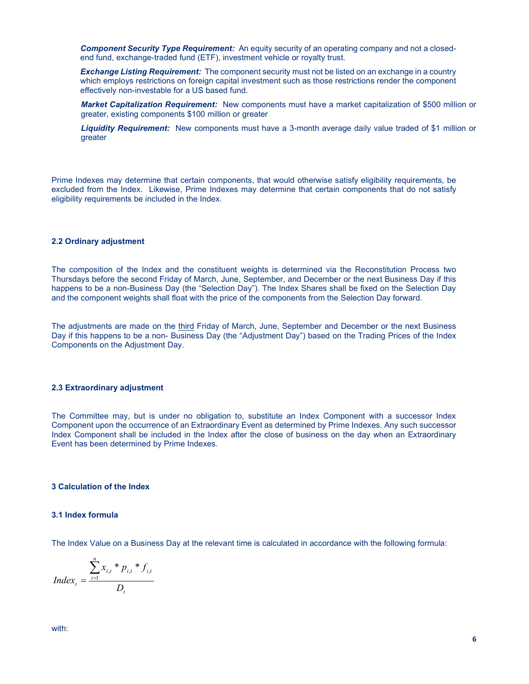**Component Security Type Requirement:** An equity security of an operating company and not a closedend fund, exchange-traded fund (ETF), investment vehicle or royalty trust.

**Exchange Listing Requirement:** The component security must not be listed on an exchange in a country which employs restrictions on foreign capital investment such as those restrictions render the component effectively non-investable for a US based fund.

Market Capitalization Requirement: New components must have a market capitalization of \$500 million or greater, existing components \$100 million or greater

Liquidity Requirement: New components must have a 3-month average daily value traded of \$1 million or greater

Prime Indexes may determine that certain components, that would otherwise satisfy eligibility requirements, be excluded from the Index. Likewise, Prime Indexes may determine that certain components that do not satisfy eligibility requirements be included in the Index.

#### 2.2 Ordinary adjustment

The composition of the Index and the constituent weights is determined via the Reconstitution Process two Thursdays before the second Friday of March, June, September, and December or the next Business Day if this happens to be a non-Business Day (the "Selection Day"). The Index Shares shall be fixed on the Selection Day and the component weights shall float with the price of the components from the Selection Day forward.

The adjustments are made on the third Friday of March, June, September and December or the next Business Day if this happens to be a non- Business Day (the "Adjustment Day") based on the Trading Prices of the Index Components on the Adjustment Day.

#### 2.3 Extraordinary adjustment

The Committee may, but is under no obligation to, substitute an Index Component with a successor Index Component upon the occurrence of an Extraordinary Event as determined by Prime Indexes. Any such successor Index Component shall be included in the Index after the close of business on the day when an Extraordinary Event has been determined by Prime Indexes.

## 3 Calculation of the Index

#### 3.1 Index formula

The Index Value on a Business Day at the relevant time is calculated in accordance with the following formula:

$$
Index_{t} = \frac{\sum_{i=1}^{n} x_{i,t} * p_{i,t} * f_{i,t}}{D_{t}}
$$

with: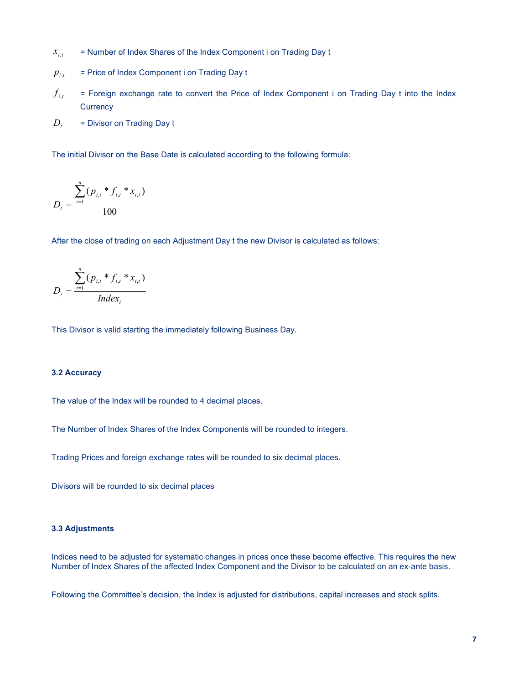- = Number of Index Shares of the Index Component i on Trading Day t  $x_{i,t}$
- = Price of Index Component i on Trading Day t  $p_{i,t}$
- = Foreign exchange rate to convert the Price of Index Component i on Trading Day t into the Index **Currency**  $f_{i,t}$
- = Divisor on Trading Day t  $D_t$

The initial Divisor on the Base Date is calculated according to the following formula:

$$
D_{t} = \frac{\sum_{i=1}^{n} (p_{i,t} * f_{i,t} * x_{i,t})}{100}
$$

After the close of trading on each Adjustment Day t the new Divisor is calculated as follows:

$$
D_{t} = \frac{\sum_{i=1}^{n} (p_{i,t} * f_{i,t} * x_{i,t})}{Index_{t}}
$$

This Divisor is valid starting the immediately following Business Day.

#### 3.2 Accuracy

The value of the Index will be rounded to 4 decimal places.

The Number of Index Shares of the Index Components will be rounded to integers.

Trading Prices and foreign exchange rates will be rounded to six decimal places.

Divisors will be rounded to six decimal places

## 3.3 Adjustments

Indices need to be adjusted for systematic changes in prices once these become effective. This requires the new Number of Index Shares of the affected Index Component and the Divisor to be calculated on an ex-ante basis.

Following the Committee's decision, the Index is adjusted for distributions, capital increases and stock splits.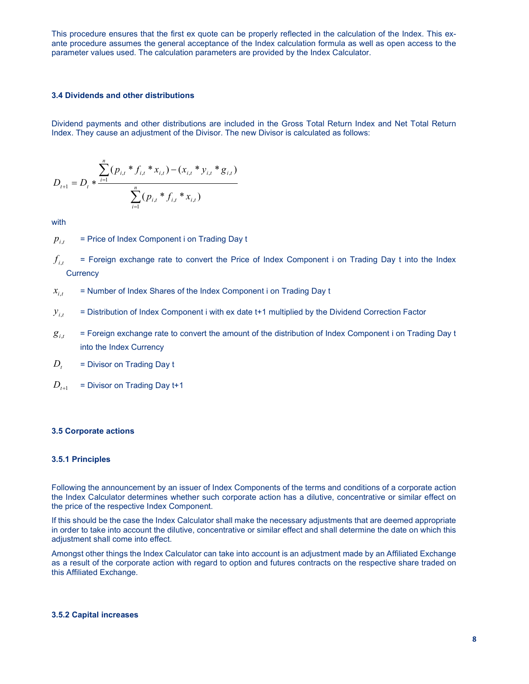This procedure ensures that the first ex quote can be properly reflected in the calculation of the Index. This exante procedure assumes the general acceptance of the Index calculation formula as well as open access to the parameter values used. The calculation parameters are provided by the Index Calculator.

## 3.4 Dividends and other distributions

Dividend payments and other distributions are included in the Gross Total Return Index and Net Total Return Index. They cause an adjustment of the Divisor. The new Divisor is calculated as follows:

$$
D_{t+1} = D_t * \frac{\sum_{i=1}^n (p_{i,t} * f_{i,t} * x_{i,t}) - (x_{i,t} * y_{i,t} * g_{i,t})}{\sum_{i=1}^n (p_{i,t} * f_{i,t} * x_{i,t})}
$$

with

 = Price of Index Component i on Trading Day t  $p_{i,t}$ 

 = Foreign exchange rate to convert the Price of Index Component i on Trading Day t into the Index **Currency**  $f_{i,t}$ 

 = Number of Index Shares of the Index Component i on Trading Day t  $x_{i,t}$ 

 = Distribution of Index Component i with ex date t+1 multiplied by the Dividend Correction Factor  $y_{i,t}$ 

- = Foreign exchange rate to convert the amount of the distribution of Index Component i on Trading Day t into the Index Currency  $g_{i,t}$
- = Divisor on Trading Day t  $D_t$
- = Divisor on Trading Day t+1  $D_{t+1}$

## 3.5 Corporate actions

### 3.5.1 Principles

Following the announcement by an issuer of Index Components of the terms and conditions of a corporate action the Index Calculator determines whether such corporate action has a dilutive, concentrative or similar effect on the price of the respective Index Component.

If this should be the case the Index Calculator shall make the necessary adjustments that are deemed appropriate in order to take into account the dilutive, concentrative or similar effect and shall determine the date on which this adjustment shall come into effect.

Amongst other things the Index Calculator can take into account is an adjustment made by an Affiliated Exchange as a result of the corporate action with regard to option and futures contracts on the respective share traded on this Affiliated Exchange.

#### 3.5.2 Capital increases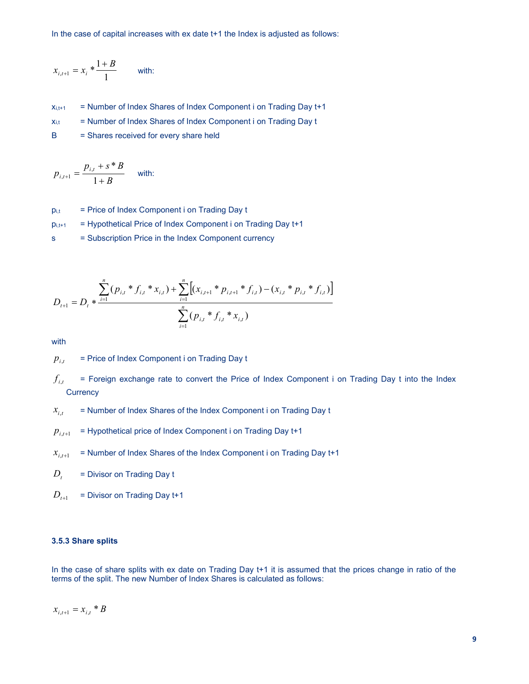In the case of capital increases with ex date t+1 the Index is adjusted as follows:

$$
x_{i,t+1} = x_i * \frac{1+B}{1}
$$
 with:

 $x_{i,t+1}$  = Number of Index Shares of Index Component i on Trading Day  $t+1$ 

 $x_{i,t}$  = Number of Index Shares of Index Component i on Trading Day t

B = Shares received for every share held

$$
p_{i,t+1} = \frac{p_{i,t} + s * B}{1 + B}
$$
 with:

 $p_{i,t}$  = Price of Index Component i on Trading Day t

- $p_{i,t+1}$  = Hypothetical Price of Index Component i on Trading Day  $t+1$
- s = Subscription Price in the Index Component currency

$$
x_{i,i+1} = x_i * \frac{1+B}{1}
$$
 with:  
\n
$$
x_{i,k+1} = \text{Number of Index Shares of Index Componenti on Trading Day t+1}
$$
\n
$$
x_{i,k} = \text{Number of Index Shares of Index Componenti on Trading Day t}
$$
\n
$$
B = \text{Share received for every share held}
$$
\n
$$
p_{i,i+1} = \frac{p_{i,i} + s * B}{1+B}
$$
 with:  
\n
$$
p_{i,i+1} = \text{Price of Index Componenti on Trading Day t}
$$
\n
$$
= \text{Flypothetical Price of Index Componenti on Trading Day t+1}
$$
\n
$$
= \text{Subscript Price in the Index Component currency}
$$
\n
$$
\sum_{i=1}^{n} (p_{i,i} * f_{i,i} * x_{i,i}) + \sum_{i=1}^{n} \left[ (x_{i,i+1} * p_{i,i+1} * f_{i,i}) - (x_{i,i} * p_{i,i} * f_{i,i}) \right]
$$
\n
$$
D_{i+1} = D_i * \frac{\sum_{i=1}^{n} (p_{i,i} * f_{i,i} * x_{i,i})}{\sum_{i=1}^{n} (p_{i,i} * f_{i,i} * x_{i,i})}
$$

with

 = Price of Index Component i on Trading Day t  $p_{i,t}$ 

- = Foreign exchange rate to convert the Price of Index Component i on Trading Day t into the Index **Currency**  $f_{_{i,t}}$
- = Number of Index Shares of the Index Component i on Trading Day t  $x_{i,t}$
- = Hypothetical price of Index Component i on Trading Day t+1  $p_{i,t+1}$
- = Number of Index Shares of the Index Component i on Trading Day t+1  $x_{i,t+1}$
- = Divisor on Trading Day t  $D_t$
- = Divisor on Trading Day t+1  $D_{t+1}$

# 3.5.3 Share splits

In the case of share splits with ex date on Trading Day t+1 it is assumed that the prices change in ratio of the terms of the split. The new Number of Index Shares is calculated as follows:

$$
x_{i,t+1} = x_{i,t} * B
$$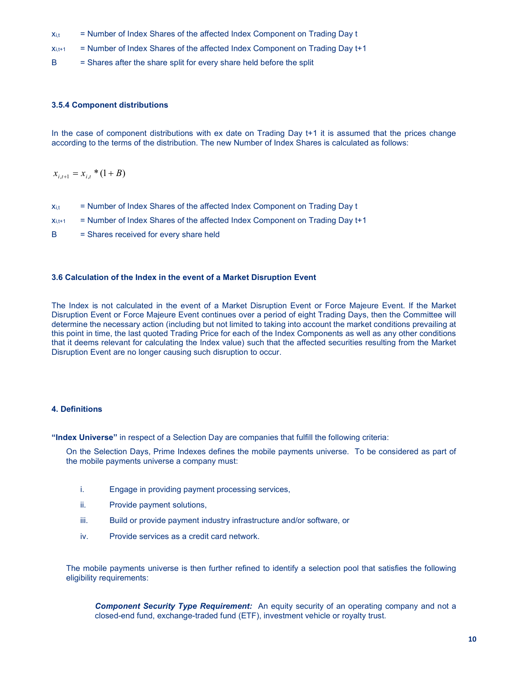- $x_{i,t}$  = Number of Index Shares of the affected Index Component on Trading Day t
- $x_{i,t+1}$  = Number of Index Shares of the affected Index Component on Trading Day  $t+1$
- B = Shares after the share split for every share held before the split

## 3.5.4 Component distributions

In the case of component distributions with ex date on Trading Day t+1 it is assumed that the prices change according to the terms of the distribution. The new Number of Index Shares is calculated as follows:

 $x_{i,t+1} = x_{i,t} * (1 + B)$ 

- $x_{i,t}$  = Number of Index Shares of the affected Index Component on Trading Day t
- $x_{i,t+1}$  = Number of Index Shares of the affected Index Component on Trading Day  $t+1$
- B = Shares received for every share held

## 3.6 Calculation of the Index in the event of a Market Disruption Event

The Index is not calculated in the event of a Market Disruption Event or Force Majeure Event. If the Market Disruption Event or Force Majeure Event continues over a period of eight Trading Days, then the Committee will determine the necessary action (including but not limited to taking into account the market conditions prevailing at this point in time, the last quoted Trading Price for each of the Index Components as well as any other conditions that it deems relevant for calculating the Index value) such that the affected securities resulting from the Market Disruption Event are no longer causing such disruption to occur.

## 4. Definitions

"Index Universe" in respect of a Selection Day are companies that fulfill the following criteria:

On the Selection Days, Prime Indexes defines the mobile payments universe. To be considered as part of the mobile payments universe a company must:

- i. Engage in providing payment processing services,
- ii. Provide payment solutions,
- iii. Build or provide payment industry infrastructure and/or software, or
- iv. Provide services as a credit card network.

The mobile payments universe is then further refined to identify a selection pool that satisfies the following eligibility requirements:

**Component Security Type Requirement:** An equity security of an operating company and not a closed-end fund, exchange-traded fund (ETF), investment vehicle or royalty trust.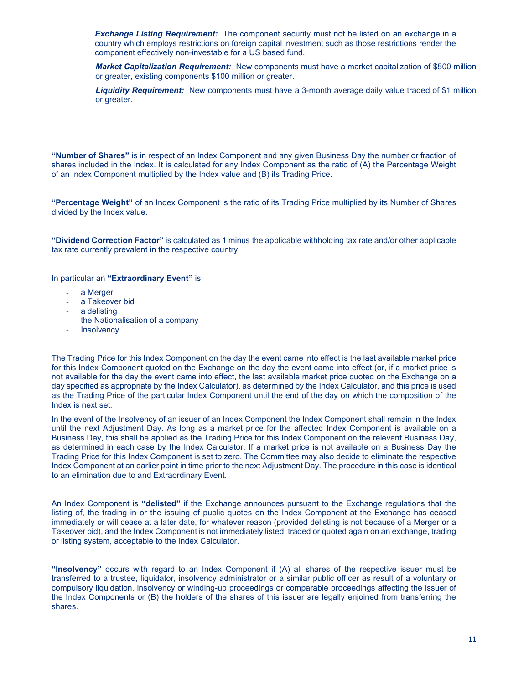**Exchange Listing Requirement:** The component security must not be listed on an exchange in a country which employs restrictions on foreign capital investment such as those restrictions render the component effectively non-investable for a US based fund.

Market Capitalization Requirement: New components must have a market capitalization of \$500 million or greater, existing components \$100 million or greater.

Liquidity Requirement: New components must have a 3-month average daily value traded of \$1 million or greater.

"Number of Shares" is in respect of an Index Component and any given Business Day the number or fraction of shares included in the Index. It is calculated for any Index Component as the ratio of (A) the Percentage Weight of an Index Component multiplied by the Index value and (B) its Trading Price.

"Percentage Weight" of an Index Component is the ratio of its Trading Price multiplied by its Number of Shares divided by the Index value.

"Dividend Correction Factor" is calculated as 1 minus the applicable withholding tax rate and/or other applicable tax rate currently prevalent in the respective country.

In particular an "Extraordinary Event" is

- a Merger
- a Takeover bid
- a delisting
- the Nationalisation of a company
- Insolvency.

The Trading Price for this Index Component on the day the event came into effect is the last available market price for this Index Component quoted on the Exchange on the day the event came into effect (or, if a market price is not available for the day the event came into effect, the last available market price quoted on the Exchange on a day specified as appropriate by the Index Calculator), as determined by the Index Calculator, and this price is used as the Trading Price of the particular Index Component until the end of the day on which the composition of the Index is next set.

In the event of the Insolvency of an issuer of an Index Component the Index Component shall remain in the Index until the next Adjustment Day. As long as a market price for the affected Index Component is available on a Business Day, this shall be applied as the Trading Price for this Index Component on the relevant Business Day, as determined in each case by the Index Calculator. If a market price is not available on a Business Day the Trading Price for this Index Component is set to zero. The Committee may also decide to eliminate the respective Index Component at an earlier point in time prior to the next Adjustment Day. The procedure in this case is identical to an elimination due to and Extraordinary Event.

An Index Component is "delisted" if the Exchange announces pursuant to the Exchange regulations that the listing of, the trading in or the issuing of public quotes on the Index Component at the Exchange has ceased immediately or will cease at a later date, for whatever reason (provided delisting is not because of a Merger or a Takeover bid), and the Index Component is not immediately listed, traded or quoted again on an exchange, trading or listing system, acceptable to the Index Calculator.

"Insolvency" occurs with regard to an Index Component if (A) all shares of the respective issuer must be transferred to a trustee, liquidator, insolvency administrator or a similar public officer as result of a voluntary or compulsory liquidation, insolvency or winding-up proceedings or comparable proceedings affecting the issuer of the Index Components or (B) the holders of the shares of this issuer are legally enjoined from transferring the shares.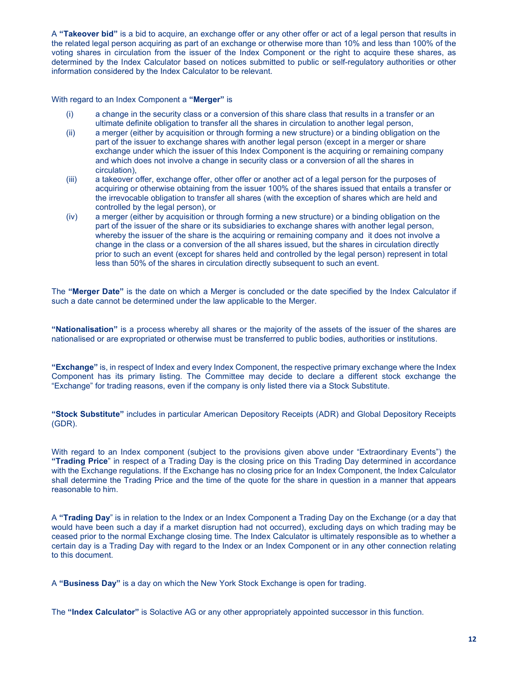A "Takeover bid" is a bid to acquire, an exchange offer or any other offer or act of a legal person that results in the related legal person acquiring as part of an exchange or otherwise more than 10% and less than 100% of the voting shares in circulation from the issuer of the Index Component or the right to acquire these shares, as determined by the Index Calculator based on notices submitted to public or self-regulatory authorities or other information considered by the Index Calculator to be relevant.

With regard to an Index Component a "Merger" is

- (i) a change in the security class or a conversion of this share class that results in a transfer or an ultimate definite obligation to transfer all the shares in circulation to another legal person,
- (ii) a merger (either by acquisition or through forming a new structure) or a binding obligation on the part of the issuer to exchange shares with another legal person (except in a merger or share exchange under which the issuer of this Index Component is the acquiring or remaining company and which does not involve a change in security class or a conversion of all the shares in circulation),
- (iii) a takeover offer, exchange offer, other offer or another act of a legal person for the purposes of acquiring or otherwise obtaining from the issuer 100% of the shares issued that entails a transfer or the irrevocable obligation to transfer all shares (with the exception of shares which are held and controlled by the legal person), or
- (iv) a merger (either by acquisition or through forming a new structure) or a binding obligation on the part of the issuer of the share or its subsidiaries to exchange shares with another legal person, whereby the issuer of the share is the acquiring or remaining company and it does not involve a change in the class or a conversion of the all shares issued, but the shares in circulation directly prior to such an event (except for shares held and controlled by the legal person) represent in total less than 50% of the shares in circulation directly subsequent to such an event.

The "Merger Date" is the date on which a Merger is concluded or the date specified by the Index Calculator if such a date cannot be determined under the law applicable to the Merger.

"Nationalisation" is a process whereby all shares or the majority of the assets of the issuer of the shares are nationalised or are expropriated or otherwise must be transferred to public bodies, authorities or institutions.

"Exchange" is, in respect of Index and every Index Component, the respective primary exchange where the Index Component has its primary listing. The Committee may decide to declare a different stock exchange the "Exchange" for trading reasons, even if the company is only listed there via a Stock Substitute.

"Stock Substitute" includes in particular American Depository Receipts (ADR) and Global Depository Receipts (GDR).

With regard to an Index component (subject to the provisions given above under "Extraordinary Events") the "Trading Price" in respect of a Trading Day is the closing price on this Trading Day determined in accordance with the Exchange regulations. If the Exchange has no closing price for an Index Component, the Index Calculator shall determine the Trading Price and the time of the quote for the share in question in a manner that appears reasonable to him.

A "Trading Day" is in relation to the Index or an Index Component a Trading Day on the Exchange (or a day that would have been such a day if a market disruption had not occurred), excluding days on which trading may be ceased prior to the normal Exchange closing time. The Index Calculator is ultimately responsible as to whether a certain day is a Trading Day with regard to the Index or an Index Component or in any other connection relating to this document.

A "Business Day" is a day on which the New York Stock Exchange is open for trading.

The "Index Calculator" is Solactive AG or any other appropriately appointed successor in this function.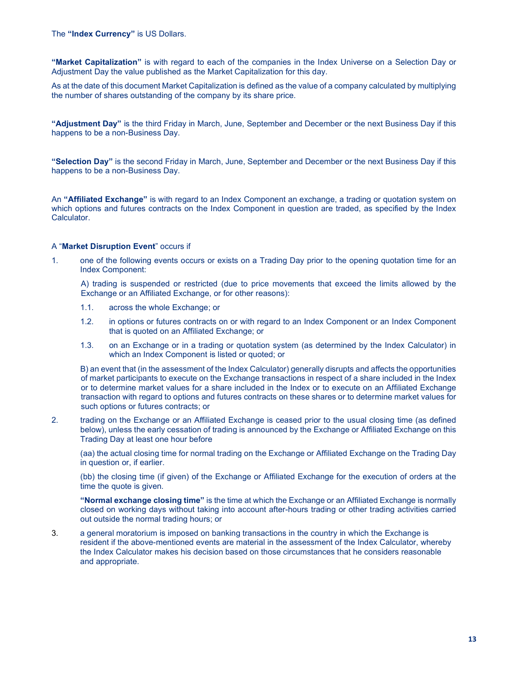"Market Capitalization" is with regard to each of the companies in the Index Universe on a Selection Day or Adjustment Day the value published as the Market Capitalization for this day.

As at the date of this document Market Capitalization is defined as the value of a company calculated by multiplying the number of shares outstanding of the company by its share price.

"Adjustment Day" is the third Friday in March, June, September and December or the next Business Day if this happens to be a non-Business Day.

"Selection Day" is the second Friday in March, June, September and December or the next Business Day if this happens to be a non-Business Day.

An "Affiliated Exchange" is with regard to an Index Component an exchange, a trading or quotation system on which options and futures contracts on the Index Component in question are traded, as specified by the Index Calculator.

### A "Market Disruption Event" occurs if

1. one of the following events occurs or exists on a Trading Day prior to the opening quotation time for an Index Component:

A) trading is suspended or restricted (due to price movements that exceed the limits allowed by the Exchange or an Affiliated Exchange, or for other reasons):

- 1.1. across the whole Exchange; or
- 1.2. in options or futures contracts on or with regard to an Index Component or an Index Component that is quoted on an Affiliated Exchange; or
- 1.3. on an Exchange or in a trading or quotation system (as determined by the Index Calculator) in which an Index Component is listed or quoted; or

B) an event that (in the assessment of the Index Calculator) generally disrupts and affects the opportunities of market participants to execute on the Exchange transactions in respect of a share included in the Index or to determine market values for a share included in the Index or to execute on an Affiliated Exchange transaction with regard to options and futures contracts on these shares or to determine market values for such options or futures contracts; or

2. trading on the Exchange or an Affiliated Exchange is ceased prior to the usual closing time (as defined below), unless the early cessation of trading is announced by the Exchange or Affiliated Exchange on this Trading Day at least one hour before

(aa) the actual closing time for normal trading on the Exchange or Affiliated Exchange on the Trading Day in question or, if earlier.

(bb) the closing time (if given) of the Exchange or Affiliated Exchange for the execution of orders at the time the quote is given.

"Normal exchange closing time" is the time at which the Exchange or an Affiliated Exchange is normally closed on working days without taking into account after-hours trading or other trading activities carried out outside the normal trading hours; or

3. a general moratorium is imposed on banking transactions in the country in which the Exchange is resident if the above-mentioned events are material in the assessment of the Index Calculator, whereby the Index Calculator makes his decision based on those circumstances that he considers reasonable and appropriate.